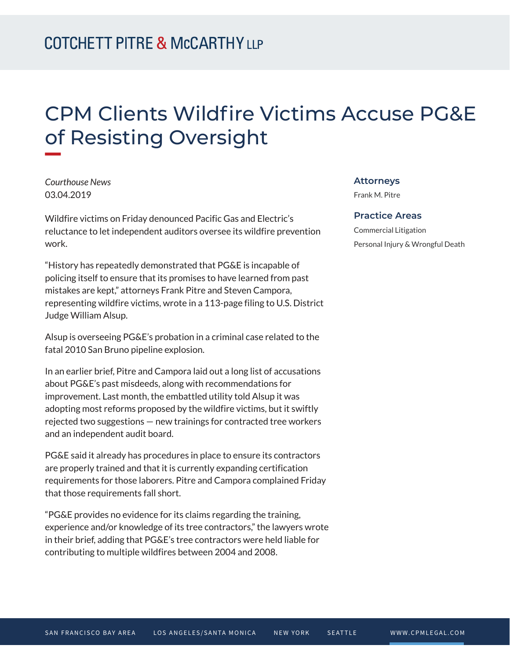## CPM Clients Wildfire Victims Accuse PG&E of Resisting Oversight

*Courthouse News* 03.04.2019

**William** 

Wildfire victims on Friday denounced Pacific Gas and Electric's reluctance to let independent auditors oversee its wildfire prevention work.

"History has repeatedly demonstrated that PG&E is incapable of policing itself to ensure that its promises to have learned from past mistakes are kept," attorneys Frank Pitre and Steven Campora, representing wildfire victims, wrote in a 113-page filing to U.S. District Judge William Alsup.

Alsup is overseeing PG&E's probation in a criminal case related to the fatal 2010 San Bruno pipeline explosion.

In an earlier brief, Pitre and Campora laid out a long list of accusations about PG&E's past misdeeds, along with recommendations for improvement. Last month, the embattled utility told Alsup it was adopting most reforms proposed by the wildfire victims, but it swiftly rejected two suggestions — new trainings for contracted tree workers and an independent audit board.

PG&E said it already has procedures in place to ensure its contractors are properly trained and that it is currently expanding certification requirements for those laborers. Pitre and Campora complained Friday that those requirements fall short.

"PG&E provides no evidence for its claims regarding the training, experience and/or knowledge of its tree contractors," the lawyers wrote in their brief, adding that PG&E's tree contractors were held liable for contributing to multiple wildfires between 2004 and 2008.

## **Attorneys**

Frank M. Pitre

## **Practice Areas**

Commercial Litigation Personal Injury & Wrongful Death